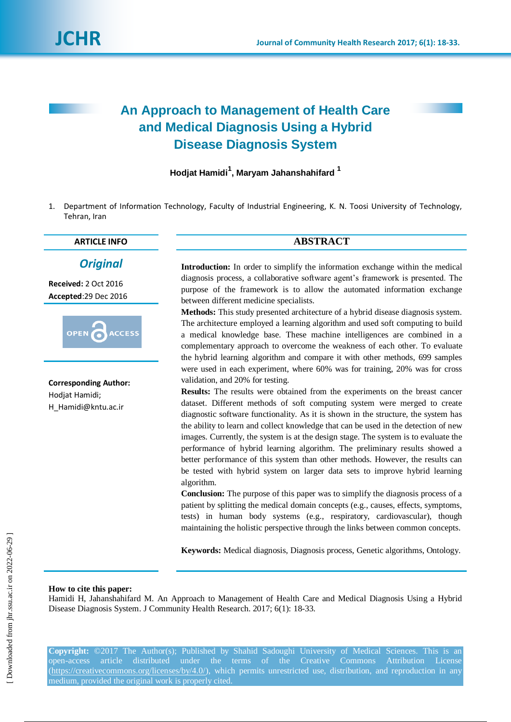# **An Approach to Management of Health Care and Medical Diagnosis Using a Hybrid Disease Diagnosis System**

**Hodjat Hamidi<sup>1</sup> , Maryam Jahanshahifard <sup>1</sup>**

1. Department of Information Technology, Faculty of Industrial Engineering, K. N. Toosi University of Technology, Tehran, Iran

# **ARTICLE INFO ABSTRACT**

# *Original*

**Received:** 2 Oct 2016 **Accepted**:29 Dec 2016



**Corresponding Author:** Hodjat Hamidi; H\_Hamidi@kntu.ac.ir

**Introduction:** In order to simplify the information exchange within the medical diagnosis process, a collaborative software agent's framework is presented. The purpose of the framework is to allow the automated information exchange between different medicine specialists.

**Methods:** This study presented architecture of a hybrid disease diagnosis system. The architecture employed a learning algorithm and used soft computing to build a medical knowledge base. These machine intelligences are combined in a complementary approach to overcome the weakness of each other. To evaluate the hybrid learning algorithm and compare it with other methods, 699 samples were used in each experiment, where 60% was for training, 20% was for cross validation, and 20% for testing.

**Results:** The results were obtained from the experiments on the breast cancer dataset. Different methods of soft computing system were merged to create diagnostic software functionality. As it is shown in the structure, the system has the ability to learn and collect knowledge that can be used in the detection of new images. Currently, the system is at the design stage. The system is to evaluate the performance of hybrid learning algorithm. The preliminary results showed a better performance of this system than other methods. However, the results can be tested with hybrid system on larger data sets to improve hybrid learning algorithm.

**Conclusion:** The purpose of this paper was to simplify the diagnosis process of a patient by splitting the medical domain concepts (e.g., causes, effects, symptoms, tests) in human body systems (e.g., respiratory, cardiovascular), though maintaining the holistic perspective through the links between common concepts.

**Keywords:** Medical diagnosis, Diagnosis process, Genetic algorithms, Ontology.

#### **How to cite this paper:**

Hamidi H, Jahanshahifard M. An Approach to Management of Health Care and Medical Diagnosis Using a Hybrid Disease Diagnosis System. J Community Health Research. 2017; 6(1): 18-33.

**Copyright:** ©2017 The Author(s); Published by Shahid Sadoughi University of Medical Sciences. This is an open-access article distributed under the terms of the Creative Commons Attribution License (https://creativecommons.org/licenses/by/4.0/), which permits unrestricted use, distribution, and reproduction in any medium, provided the original work is properly cited.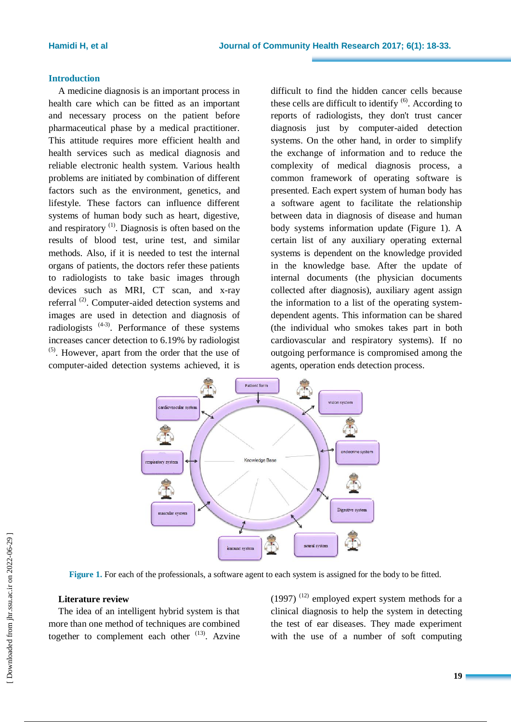#### **Introduction**

A medicine diagnosis is an important process in health care which can be fitted as an important and necessary process on the patient before pharmaceutical phase by a medical practitioner. This attitude requires more efficient health and health services such as medical diagnosis and reliable electronic health system. Various health problems are initiated by combination of different factors such as the environment, genetics, and lifestyle. These factors can influence different systems of human body such as heart, digestive, and respiratory<sup>(1)</sup>. Diagnosis is often based on the results of blood test, urine test, and similar methods. Also, if it is needed to test the internal organs of patients, the doctors refer these patients to radiologists to take basic images through devices such as MRI, CT scan, and x-ray referral  $^{(2)}$ . Computer-aided detection systems and images are used in detection and diagnosis of radiologists  $(4-3)$ . Performance of these systems increases cancer detection to 6.19% by radiologist (5) . However, apart from the order that the use of computer-aided detection systems achieved, it is

difficult to find the hidden cancer cells because these cells are difficult to identify  $<sup>(6)</sup>$ . According to</sup> reports of radiologists, they don't trust cancer diagnosis just by computer-aided detection systems. On the other hand, in order to simplify the exchange of information and to reduce the complexity of medical diagnosis process, a common framework of operating software is presented. Each expert system of human body has a software agent to facilitate the relationship between data in diagnosis of disease and human body systems information update (Figure 1). A certain list of any auxiliary operating external systems is dependent on the knowledge provided in the knowledge base. After the update of internal documents (the physician documents collected after diagnosis), auxiliary agent assign the information to a list of the operating systemdependent agents. This information can be shared (the individual who smokes takes part in both cardiovascular and respiratory systems). If no outgoing performance is compromised among the agents, operation ends detection process.



**Figure 1.** For each of the professionals, a software agent to each system is assigned for the body to be fitted.

### **Literature review**

The idea of an intelligent hybrid system is that more than one method of techniques are combined together to complement each other  $(13)$ . Azvine  $(1997)$ <sup> $(12)$ </sup> employed expert system methods for a clinical diagnosis to help the system in detecting the test of ear diseases. They made experiment with the use of a number of soft computing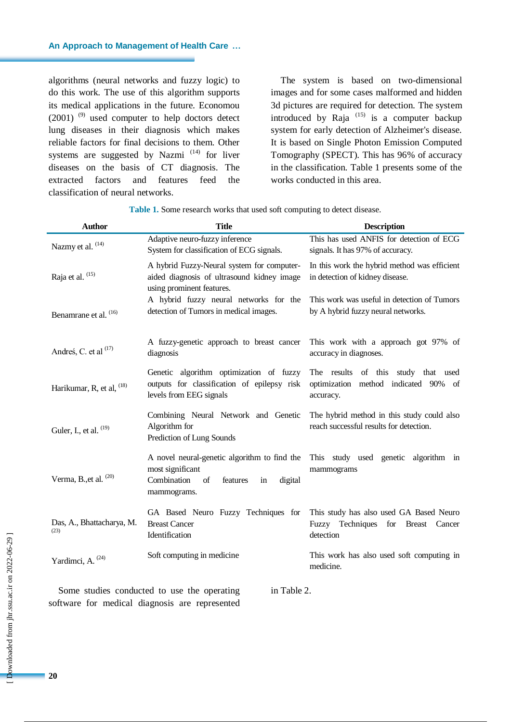algorithms (neural networks and fuzzy logic) to do this work. The use of this algorithm supports its medical applications in the future. Economou  $(2001)$ <sup>(9)</sup> used computer to help doctors detect lung diseases in their diagnosis which makes reliable factors for final decisions to them. Other systems are suggested by Nazmi<sup> $(14)$ </sup> for liver diseases on the basis of CT diagnosis. The extracted factors and features feed the classification of neural networks.

The system is based on two-dimensional images and for some cases malformed and hidden 3d pictures are required for detection. The system introduced by Raja  $(15)$  is a computer backup system for early detection of Alzheimer's disease. It is based on Single Photon Emission Computed Tomography (SPECT). This has 96% of accuracy in the classification. Table 1 presents some of the works conducted in this area.

**Table 1.** Some research works that used soft computing to detect disease.

| <b>Author</b>                     | <b>Title</b>                                                                                                                      | <b>Description</b>                                                                         |  |  |
|-----------------------------------|-----------------------------------------------------------------------------------------------------------------------------------|--------------------------------------------------------------------------------------------|--|--|
| Nazmy et al. <sup>(14)</sup>      | Adaptive neuro-fuzzy inference<br>System for classification of ECG signals.                                                       | This has used ANFIS for detection of ECG<br>signals. It has 97% of accuracy.               |  |  |
| Raja et al. (15)                  | A hybrid Fuzzy-Neural system for computer-<br>aided diagnosis of ultrasound kidney image<br>using prominent features.             | In this work the hybrid method was efficient<br>in detection of kidney disease.            |  |  |
| Benamrane et al. (16)             | A hybrid fuzzy neural networks for the<br>detection of Tumors in medical images.                                                  | This work was useful in detection of Tumors<br>by A hybrid fuzzy neural networks.          |  |  |
| Andreś, C. et al <sup>(17)</sup>  | A fuzzy-genetic approach to breast cancer<br>diagnosis                                                                            | This work with a approach got 97% of<br>accuracy in diagnoses.                             |  |  |
| Harikumar, R, et al, $^{(18)}$    | Genetic algorithm optimization of fuzzy<br>outputs for classification of epilepsy risk<br>levels from EEG signals                 | The results of this study that used<br>optimization method indicated 90% of<br>accuracy.   |  |  |
| Guler, I., et al. (19)            | Combining Neural Network and Genetic<br>Algorithm for<br>Prediction of Lung Sounds                                                | The hybrid method in this study could also<br>reach successful results for detection.      |  |  |
| Verma, B., et al. $(20)$          | A novel neural-genetic algorithm to find the<br>most significant<br>Combination<br>of<br>features<br>digital<br>in<br>mammograms. | This study used genetic<br>algorithm in<br>mammograms                                      |  |  |
| Das, A., Bhattacharya, M.<br>(23) | GA Based Neuro Fuzzy Techniques for<br><b>Breast Cancer</b><br>Identification                                                     | This study has also used GA Based Neuro<br>Fuzzy Techniques for Breast Cancer<br>detection |  |  |
| Yardimci, A. <sup>(24)</sup>      | Soft computing in medicine                                                                                                        | This work has also used soft computing in<br>medicine.                                     |  |  |

Some studies conducted to use the operating software for medical diagnosis are represented in Table 2.

**20**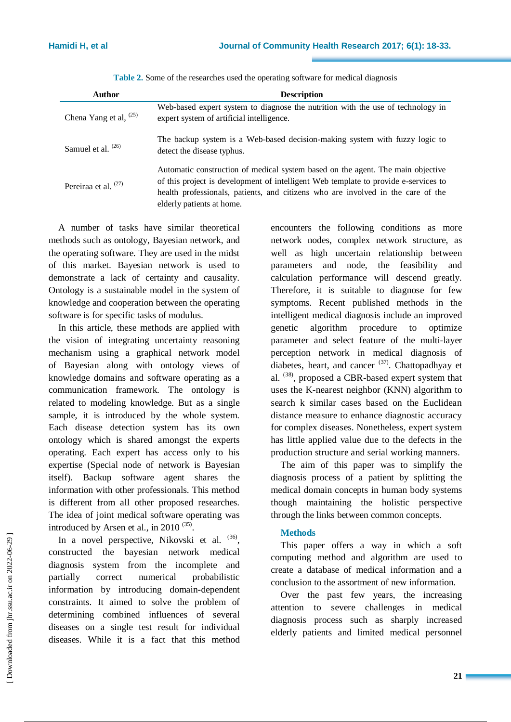| <b>Author</b>                 | <b>Description</b>                                                                                                                                                                                                                                                                      |
|-------------------------------|-----------------------------------------------------------------------------------------------------------------------------------------------------------------------------------------------------------------------------------------------------------------------------------------|
| Chena Yang et al, $(25)$      | Web-based expert system to diagnose the nutrition with the use of technology in<br>expert system of artificial intelligence.                                                                                                                                                            |
| Samuel et al. <sup>(26)</sup> | The backup system is a Web-based decision-making system with fuzzy logic to<br>detect the disease typhus.                                                                                                                                                                               |
| Pereiraa et al. $(27)$        | Automatic construction of medical system based on the agent. The main objective<br>of this project is development of intelligent Web template to provide e-services to<br>health professionals, patients, and citizens who are involved in the care of the<br>elderly patients at home. |

**Table 2.** Some of the researches used the operating software for medical diagnosis

A number of tasks have similar theoretical methods such as ontology, Bayesian network, and the operating software. They are used in the midst of this market. Bayesian network is used to demonstrate a lack of certainty and causality. Ontology is a sustainable model in the system of knowledge and cooperation between the operating software is for specific tasks of modulus.

In this article, these methods are applied with the vision of integrating uncertainty reasoning mechanism using a graphical network model of Bayesian along with ontology views of knowledge domains and software operating as a communication framework. The ontology is related to modeling knowledge. But as a single sample, it is introduced by the whole system. Each disease detection system has its own ontology which is shared amongst the experts operating. Each expert has access only to his expertise (Special node of network is Bayesian itself). Backup software agent shares the information with other professionals. This method is different from all other proposed researches. The idea of joint medical software operating was introduced by Arsen et al., in 2010  $(35)$ .

In a novel perspective, Nikovski et al. (36), constructed the bayesian network medical diagnosis system from the incomplete and partially correct numerical probabilistic information by introducing domain-dependent constraints. It aimed to solve the problem of determining combined influences of several diseases on a single test result for individual diseases. While it is a fact that this method

encounters the following conditions as more network nodes, complex network structure, as well as high uncertain relationship between parameters and node, the feasibility and calculation performance will descend greatly. Therefore, it is suitable to diagnose for few symptoms. Recent published methods in the intelligent medical diagnosis include an improved genetic algorithm procedure to optimize parameter and select feature of the multi-layer perception network in medical diagnosis of diabetes, heart, and cancer  $(37)$ . Chattopadhyay et al.  $^{(38)}$ , proposed a CBR-based expert system that uses the K-nearest neighbor (KNN) algorithm to search k similar cases based on the Euclidean distance measure to enhance diagnostic accuracy for complex diseases. Nonetheless, expert system has little applied value due to the defects in the production structure and serial working manners.

The aim of this paper was to simplify the diagnosis process of a patient by splitting the medical domain concepts in human body systems though maintaining the holistic perspective through the links between common concepts.

# **Methods**

This paper offers a way in which a soft computing method and algorithm are used to create a database of medical information and a conclusion to the assortment of new information.

Over the past few years, the increasing attention to severe challenges in medical diagnosis process such as sharply increased elderly patients and limited medical personnel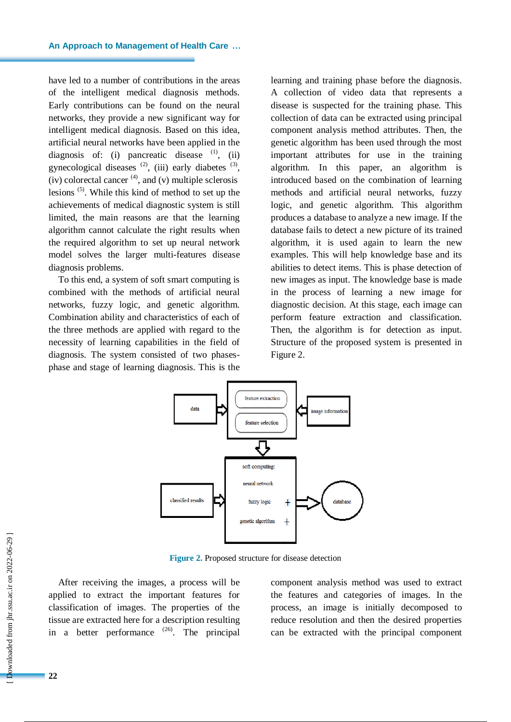have led to a number of contributions in the areas of the intelligent medical diagnosis methods. Early contributions can be found on the neural networks, they provide a new significant way for intelligent medical diagnosis. Based on this idea, artificial neural networks have been applied in the diagnosis of: (i) pancreatic disease  $(1)$ , (ii) gynecological diseases  $^{(2)}$ , (iii) early diabetes  $^{(3)}$ ,  $(iv)$  colorectal cancer  $<sup>(4)</sup>$ , and  $(v)$  multiple sclerosis</sup> lesions (5) . While this kind of method to set up the achievements of medical diagnostic system is still limited, the main reasons are that the learning algorithm cannot calculate the right results when the required algorithm to set up neural network model solves the larger multi-features disease diagnosis problems.

To this end, a system of soft smart computing is combined with the methods of artificial neural networks, fuzzy logic, and genetic algorithm. Combination ability and characteristics of each of the three methods are applied with regard to the necessity of learning capabilities in the field of diagnosis. The system consisted of two phasesphase and stage of learning diagnosis. This is the learning and training phase before the diagnosis. A collection of video data that represents a disease is suspected for the training phase. This collection of data can be extracted using principal component analysis method attributes. Then, the genetic algorithm has been used through the most important attributes for use in the training algorithm. In this paper, an algorithm is introduced based on the combination of learning methods and artificial neural networks, fuzzy logic, and genetic algorithm. This algorithm produces a database to analyze a new image. If the database fails to detect a new picture of its trained algorithm, it is used again to learn the new examples. This will help knowledge base and its abilities to detect items. This is phase detection of new images as input. The knowledge base is made in the process of learning a new image for diagnostic decision. At this stage, each image can perform feature extraction and classification. Then, the algorithm is for detection as input. Structure of the proposed system is presented in Figure 2.



**Figure 2.** Proposed structure for disease detection

After receiving the images, a process will be applied to extract the important features for classification of images. The properties of the tissue are extracted here for a description resulting in a better performance  $(26)$ . The principal component analysis method was used to extract the features and categories of images. In the process, an image is initially decomposed to reduce resolution and then the desired properties can be extracted with the principal component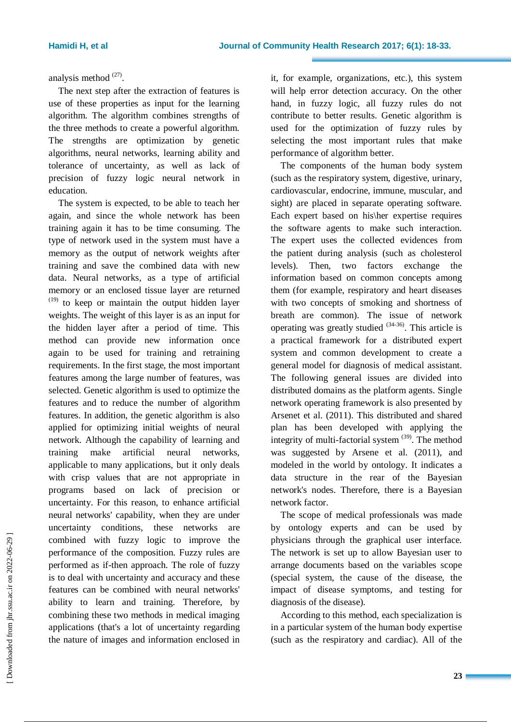analysis method $^{(27)}$ .

The next step after the extraction of features is use of these properties as input for the learning algorithm. The algorithm combines strengths of the three methods to create a powerful algorithm. The strengths are optimization by genetic algorithms, neural networks, learning ability and tolerance of uncertainty, as well as lack of precision of fuzzy logic neural network in education.

The system is expected, to be able to teach her again, and since the whole network has been training again it has to be time consuming. The type of network used in the system must have a memory as the output of network weights after training and save the combined data with new data. Neural networks, as a type of artificial memory or an enclosed tissue layer are returned  $(19)$  to keep or maintain the output hidden layer weights. The weight of this layer is as an input for the hidden layer after a period of time. This method can provide new information once again to be used for training and retraining requirements. In the first stage, the most important features among the large number of features, was selected. Genetic algorithm is used to optimize the features and to reduce the number of algorithm features. In addition, the genetic algorithm is also applied for optimizing initial weights of neural network. Although the capability of learning and training make artificial neural networks, applicable to many applications, but it only deals with crisp values that are not appropriate in programs based on lack of precision or uncertainty. For this reason, to enhance artificial neural networks' capability, when they are under uncertainty conditions, these networks are combined with fuzzy logic to improve the performance of the composition. Fuzzy rules are performed as if-then approach. The role of fuzzy is to deal with uncertainty and accuracy and these features can be combined with neural networks' ability to learn and training. Therefore, by combining these two methods in medical imaging applications (that's a lot of uncertainty regarding the nature of images and information enclosed in

it, for example, organizations, etc.), this system will help error detection accuracy. On the other hand, in fuzzy logic, all fuzzy rules do not contribute to better results. Genetic algorithm is used for the optimization of fuzzy rules by selecting the most important rules that make performance of algorithm better.

The components of the human body system (such as the respiratory system, digestive, urinary, cardiovascular, endocrine, immune, muscular, and sight) are placed in separate operating software. Each expert based on his\her expertise requires the software agents to make such interaction. The expert uses the collected evidences from the patient during analysis (such as cholesterol levels). Then, two factors exchange the information based on common concepts among them (for example, respiratory and heart diseases with two concepts of smoking and shortness of breath are common). The issue of network operating was greatly studied  $(34-36)$ . This article is a practical framework for a distributed expert system and common development to create a general model for diagnosis of medical assistant. The following general issues are divided into distributed domains as the platform agents. Single network operating framework is also presented by Arsenet et al. (2011). This distributed and shared plan has been developed with applying the integrity of multi-factorial system  $(39)$ . The method was suggested by Arsene et al. (2011), and modeled in the world by ontology. It indicates a data structure in the rear of the Bayesian network's nodes. Therefore, there is a Bayesian network factor.

The scope of medical professionals was made by ontology experts and can be used by physicians through the graphical user interface. The network is set up to allow Bayesian user to arrange documents based on the variables scope (special system, the cause of the disease, the impact of disease symptoms, and testing for diagnosis of the disease).

According to this method, each specialization is in a particular system of the human body expertise (such as the respiratory and cardiac). All of the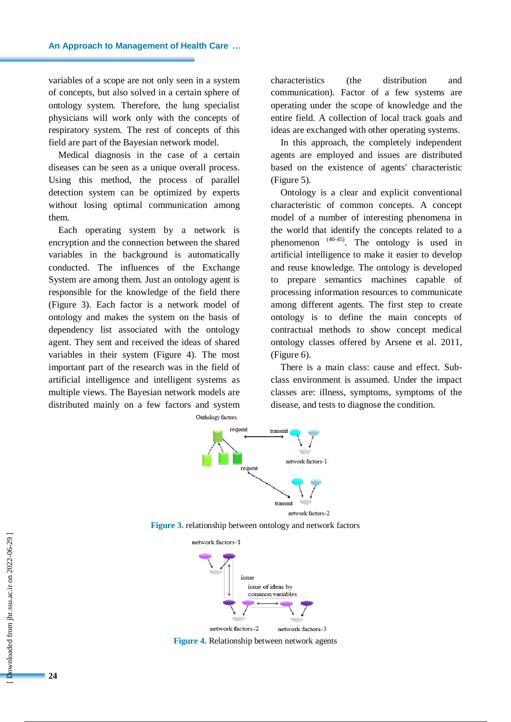variables of a scope are not only seen in a system of concepts, but also solved in a certain sphere of ontology system. Therefore, the lung specialist physicians will work only with the concepts of respiratory system. The rest of concepts of this field are part of the Bayesian network model.

Medical diagnosis in the case of a certain diseases can be seen as a unique overall process. Using this method, the process of parallel detection system can be optimized by experts without losing optimal communication among them.

Each operating system by a network is encryption and the connection between the shared variables in the background is automatically conducted. The influences of the Exchange System are among them. Just an ontology agent is responsible for the knowledge of the field there (Figure 3). Each factor is a network model of ontology and makes the system on the basis of dependency list associated with the ontology agent. They sent and received the ideas of shared variables in their system (Figure 4). The most important part of the research was in the field of artificial intelligence and intelligent systems as multiple views. The Bayesian network models are distributed mainly on a few factors and system

characteristics (the distribution and communication). Factor of a few systems are operating under the scope of knowledge and the entire field. A collection of local track goals and ideas are exchanged with other operating systems.

In this approach, the completely independent agents are employed and issues are distributed based on the existence of agents' characteristic (Figure 5).

Ontology is a clear and explicit conventional characteristic of common concepts. A concept model of a number of interesting phenomena in the world that identify the concepts related to a phenomenon  $(40-45)$ . The ontology is used in artificial intelligence to make it easier to develop and reuse knowledge. The ontology is developed to prepare semantics machines capable of processing information resources to communicate among different agents. The first step to create ontology is to define the main concepts of contractual methods to show concept medical ontology classes offered by Arsene et al. 2011, (Figure 6).

There is a main class: cause and effect. Subclass environment is assumed. Under the impact classes are: illness, symptoms, symptoms of the disease, and tests to diagnose the condition.

Onthology factors







**Figure 4.** Relationship between network agents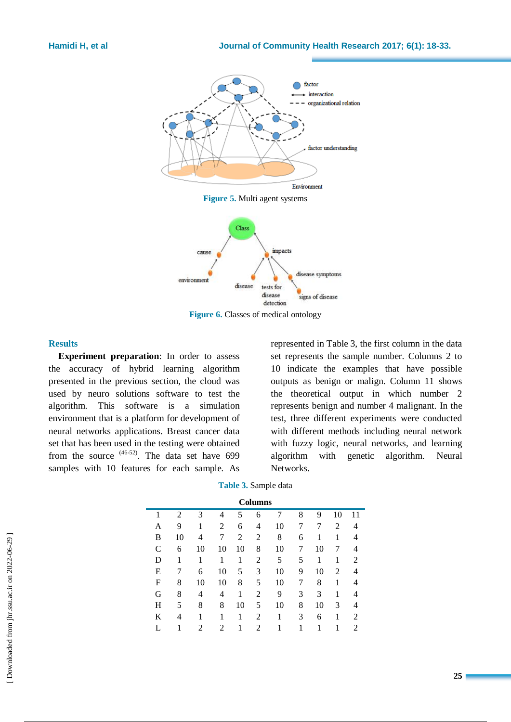



**Figure 6.** Classes of medical ontology

#### **Results**

**Experiment preparation**: In order to assess the accuracy of hybrid learning algorithm presented in the previous section, the cloud was used by neuro solutions software to test the algorithm. This software is a simulation environment that is a platform for development of neural networks applications. Breast cancer data set that has been used in the testing were obtained from the source  $(46-52)$ . The data set have 699 samples with 10 features for each sample. As

represented in Table 3, the first column in the data set represents the sample number. Columns 2 to 10 indicate the examples that have possible outputs as benign or malign. Column 11 shows the theoretical output in which number 2 represents benign and number 4 malignant. In the test, three different experiments were conducted with different methods including neural network with fuzzy logic, neural networks, and learning algorithm with genetic algorithm. Neural Networks.

**Table 3.** Sample data

| <b>Columns</b> |                |    |    |    |                |    |   |    |    |    |
|----------------|----------------|----|----|----|----------------|----|---|----|----|----|
|                | $\overline{c}$ | 3  | 4  | 5  | 6              | 7  | 8 | 9  | 10 | 11 |
| Α              | 9              | 1  | 2  | 6  | 4              | 10 | 7 |    | 2  | 4  |
| B              | 10             | 4  | 7  | 2  | 2              | 8  | 6 | 1  | 1  |    |
| $\mathsf{C}$   | 6              | 10 | 10 | 10 | 8              | 10 | 7 | 10 | 7  |    |
| D              |                | 1  | 1  | 1  | 2              | 5  | 5 | 1  | 1  | 2  |
| E              |                | 6  | 10 | 5  | 3              | 10 | 9 | 10 | 2  | 4  |
| F              | 8              | 10 | 10 | 8  | 5              | 10 |   | 8  | 1  |    |
| G              | 8              | 4  | 4  | 1  | 2              | 9  | 3 | 3  | 1  | 4  |
| H              | 5              | 8  | 8  | 10 | 5              | 10 | 8 | 10 | 3  | 4  |
| K              | 4              | 1  | 1  |    | $\overline{c}$ | 1  | 3 | 6  | 1  | 2  |
|                |                | 2  | 2  |    | $\overline{c}$ |    |   | 1  | 1  | 2  |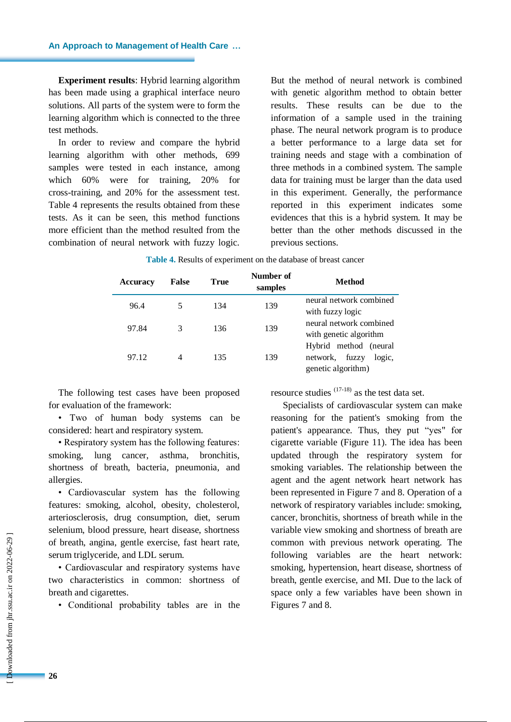**Experiment results**: Hybrid learning algorithm has been made using a graphical interface neuro solutions. All parts of the system were to form the learning algorithm which is connected to the three test methods.

In order to review and compare the hybrid learning algorithm with other methods, 699 samples were tested in each instance, among which 60% were for training, 20% for cross-training, and 20% for the assessment test. Table 4 represents the results obtained from these tests. As it can be seen, this method functions more efficient than the method resulted from the combination of neural network with fuzzy logic. But the method of neural network is combined with genetic algorithm method to obtain better results. These results can be due to the information of a sample used in the training phase. The neural network program is to produce a better performance to a large data set for training needs and stage with a combination of three methods in a combined system. The sample data for training must be larger than the data used in this experiment. Generally, the performance reported in this experiment indicates some evidences that this is a hybrid system. It may be better than the other methods discussed in the previous sections.

| <b>Accuracy</b> | <b>False</b> | True | Number of<br>samples | <b>Method</b>                                                              |
|-----------------|--------------|------|----------------------|----------------------------------------------------------------------------|
| 96.4            |              | 134  | 139                  | neural network combined<br>with fuzzy logic                                |
| 97.84           | 3            | 136  | 139                  | neural network combined<br>with genetic algorithm                          |
| 97.12           |              | 135  | 139                  | Hybrid method (neural<br>network.<br>fuzzy<br>logic,<br>genetic algorithm) |

| Table 4. Results of experiment on the database of breast cancer |  |
|-----------------------------------------------------------------|--|
|-----------------------------------------------------------------|--|

The following test cases have been proposed for evaluation of the framework:

• Two of human body systems can be considered: heart and respiratory system.

• Respiratory system has the following features: smoking, lung cancer, asthma, bronchitis, shortness of breath, bacteria, pneumonia, and allergies.

• Cardiovascular system has the following features: smoking, alcohol, obesity, cholesterol, arteriosclerosis, drug consumption, diet, serum selenium, blood pressure, heart disease, shortness of breath, angina, gentle exercise, fast heart rate, serum triglyceride, and LDL serum.

• Cardiovascular and respiratory systems have two characteristics in common: shortness of breath and cigarettes.

• Conditional probability tables are in the

resource studies  $(17-18)$  as the test data set.

Specialists of cardiovascular system can make reasoning for the patient's smoking from the patient's appearance. Thus, they put "yes" for cigarette variable (Figure 11). The idea has been updated through the respiratory system for smoking variables. The relationship between the agent and the agent network heart network has been represented in Figure 7 and 8. Operation of a network of respiratory variables include: smoking, cancer, bronchitis, shortness of breath while in the variable view smoking and shortness of breath are common with previous network operating. The following variables are the heart network: smoking, hypertension, heart disease, shortness of breath, gentle exercise, and MI. Due to the lack of space only a few variables have been shown in Figures 7 and 8.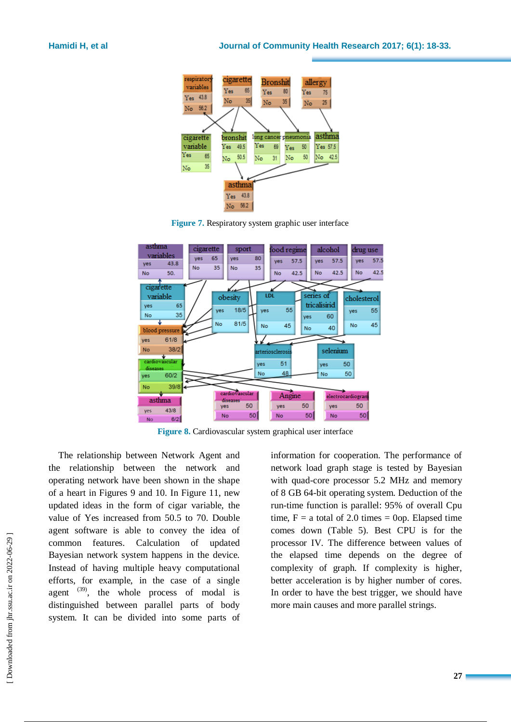





**Figure 8.** Cardiovascular system graphical user interface

The relationship between Network Agent and the relationship between the network and operating network have been shown in the shape of a heart in Figures 9 and 10. In Figure 11, new updated ideas in the form of cigar variable, the value of Yes increased from 50.5 to 70. Double agent software is able to convey the idea of common features. Calculation of updated Bayesian network system happens in the device. Instead of having multiple heavy computational efforts, for example, in the case of a single agent  $(39)$ , the whole process of modal is distinguished between parallel parts of body system. It can be divided into some parts of

information for cooperation. The performance of network load graph stage is tested by Bayesian with quad-core processor 5.2 MHz and memory of 8 GB 64-bit operating system. Deduction of the run-time function is parallel: 95% of overall Cpu time,  $F = a$  total of 2.0 times = 0op. Elapsed time comes down (Table 5). Best CPU is for the processor IV. The difference between values of the elapsed time depends on the degree of complexity of graph. If complexity is higher, better acceleration is by higher number of cores. In order to have the best trigger, we should have more main causes and more parallel strings.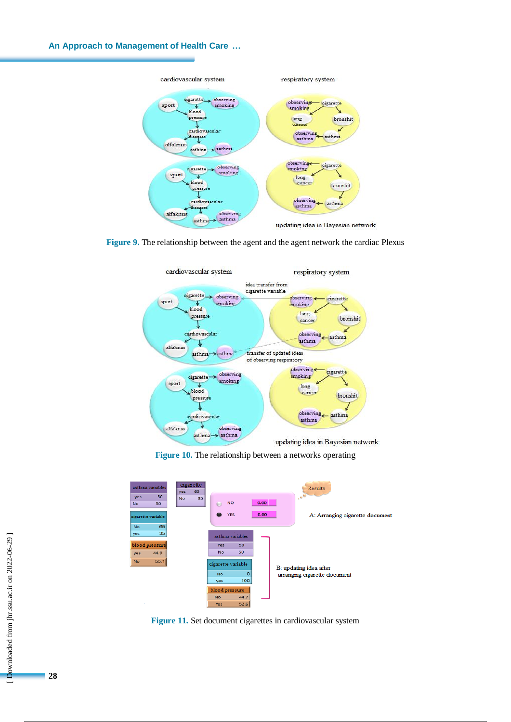# **An Approach to Management of Health Care …**



**Figure 9.** The relationship between the agent and the agent network the cardiac Plexus



**Figure 10.** The relationship between a networks operating



Figure 11. Set document cigarettes in cardiovascular system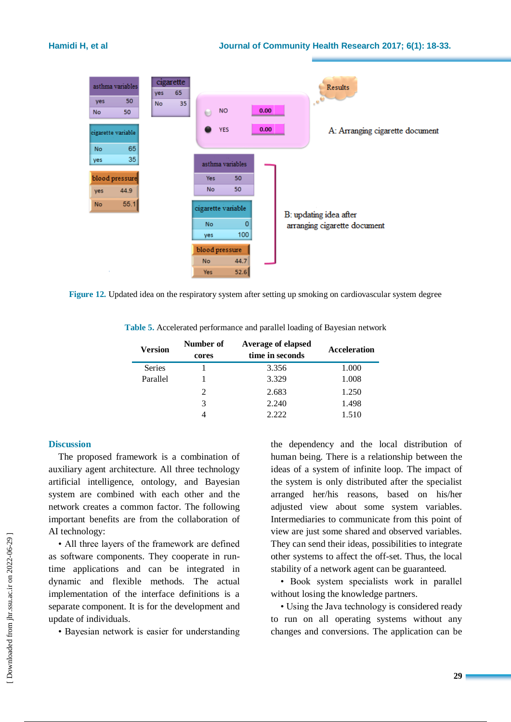

**Figure 12.** Updated idea on the respiratory system after setting up smoking on cardiovascular system degree

**Table 5.** Accelerated performance and parallel loading of Bayesian network

| <b>Version</b> | Number of<br>cores | Average of elapsed<br>time in seconds | Acceleration |
|----------------|--------------------|---------------------------------------|--------------|
| <b>Series</b>  |                    | 3.356                                 | 1.000        |
| Parallel       |                    | 3.329                                 | 1.008        |
|                | 2                  | 2.683                                 | 1.250        |
|                | 3                  | 2.240                                 | 1.498        |
|                |                    | 2.222                                 | 1.510        |

#### **Discussion**

The proposed framework is a combination of auxiliary agent architecture. All three technology artificial intelligence, ontology, and Bayesian system are combined with each other and the network creates a common factor. The following important benefits are from the collaboration of AI technology:

• All three layers of the framework are defined as software components. They cooperate in runtime applications and can be integrated in dynamic and flexible methods. The actual implementation of the interface definitions is a separate component. It is for the development and update of individuals.

• Bayesian network is easier for understanding

the dependency and the local distribution of human being. There is a relationship between the ideas of a system of infinite loop. The impact of the system is only distributed after the specialist arranged her/his reasons, based on his/her adjusted view about some system variables. Intermediaries to communicate from this point of view are just some shared and observed variables. They can send their ideas, possibilities to integrate other systems to affect the off-set. Thus, the local stability of a network agent can be guaranteed.

• Book system specialists work in parallel without losing the knowledge partners.

• Using the Java technology is considered ready to run on all operating systems without any changes and conversions. The application can be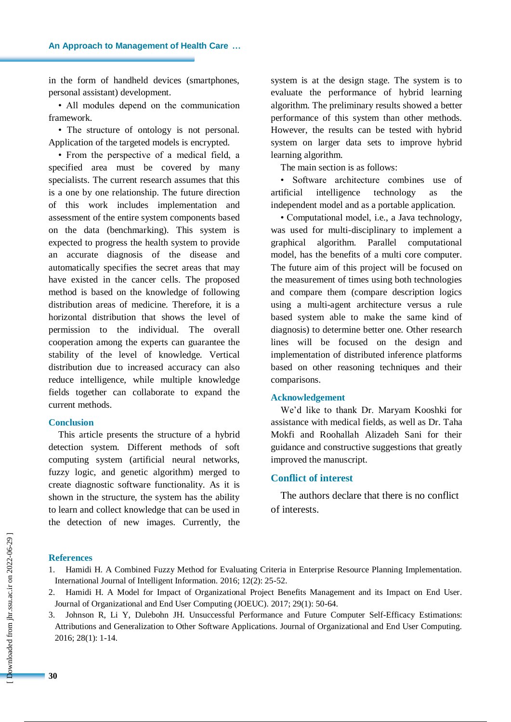in the form of handheld devices (smartphones, personal assistant) development.

• All modules depend on the communication framework.

• The structure of ontology is not personal. Application of the targeted models is encrypted.

• From the perspective of a medical field, a specified area must be covered by many specialists. The current research assumes that this is a one by one relationship. The future direction of this work includes implementation and assessment of the entire system components based on the data (benchmarking). This system is expected to progress the health system to provide an accurate diagnosis of the disease and automatically specifies the secret areas that may have existed in the cancer cells. The proposed method is based on the knowledge of following distribution areas of medicine. Therefore, it is a horizontal distribution that shows the level of permission to the individual. The overall cooperation among the experts can guarantee the stability of the level of knowledge. Vertical distribution due to increased accuracy can also reduce intelligence, while multiple knowledge fields together can collaborate to expand the current methods.

#### **Conclusion**

This article presents the structure of a hybrid detection system. Different methods of soft computing system (artificial neural networks, fuzzy logic, and genetic algorithm) merged to create diagnostic software functionality. As it is shown in the structure, the system has the ability to learn and collect knowledge that can be used in the detection of new images. Currently, the system is at the design stage. The system is to evaluate the performance of hybrid learning algorithm. The preliminary results showed a better performance of this system than other methods. However, the results can be tested with hybrid system on larger data sets to improve hybrid learning algorithm.

The main section is as follows:

• Software architecture combines use of artificial intelligence technology as the independent model and as a portable application.

• Computational model, i.e., a Java technology, was used for multi-disciplinary to implement a graphical algorithm. Parallel computational model, has the benefits of a multi core computer. The future aim of this project will be focused on the measurement of times using both technologies and compare them (compare description logics using a multi-agent architecture versus a rule based system able to make the same kind of diagnosis) to determine better one. Other research lines will be focused on the design and implementation of distributed inference platforms based on other reasoning techniques and their comparisons.

#### **Acknowledgement**

We'd like to thank Dr. Maryam Kooshki for assistance with medical fields, as well as Dr. Taha Mokfi and Roohallah Alizadeh Sani for their guidance and constructive suggestions that greatly improved the manuscript.

## **Conflict of interest**

The authors declare that there is no conflict of interests.

#### **References**

- 1. Hamidi H. A Combined Fuzzy Method for Evaluating Criteria in Enterprise Resource Planning Implementation. International Journal of Intelligent Information. 2016; 12(2): 25-52.
- 2. Hamidi H. A Model for Impact of Organizational Project Benefits Management and its Impact on End User. Journal of Organizational and End User Computing (JOEUC). 2017; 29(1): 50-64.
- 3. Johnson R, Li Y, Dulebohn JH. Unsuccessful Performance and Future Computer Self-Efficacy Estimations: Attributions and Generalization to Other Software Applications. Journal of Organizational and End User Computing. 2016; 28(1): 1-14.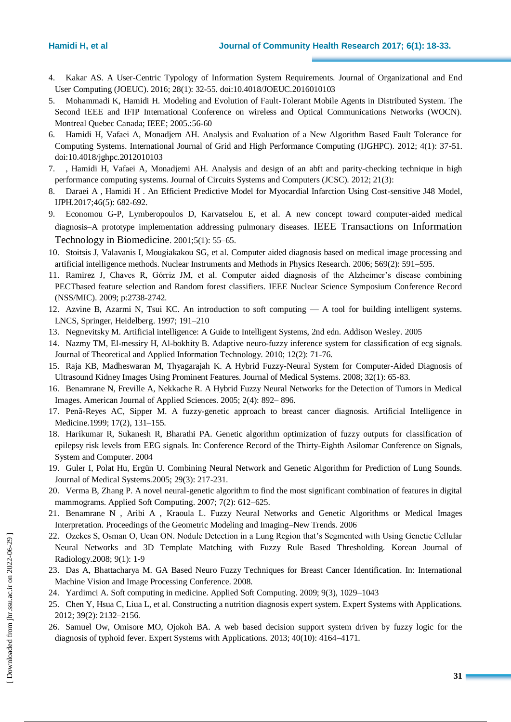- 4. Kakar AS. A User-Centric Typology of Information System Requirements. Journal of Organizational and End User Computing (JOEUC). 2016; 28(1): 32-55. doi:10.4018/JOEUC.2016010103
- 5. Mohammadi K, Hamidi H. Modeling and Evolution of Fault-Tolerant Mobile Agents in Distributed System. The Second IEEE and IFIP International Conference on wireless and Optical Communications Networks (WOCN). Montreal Quebec Canada; IEEE; 2005.:56-60
- 6. Hamidi H, Vafaei A, Monadjem AH. Analysis and Evaluation of a New Algorithm Based Fault Tolerance for Computing Systems. International Journal of Grid and High Performance Computing (IJGHPC). 2012; 4(1): 37-51. doi:10.4018/jghpc.2012010103
- 7. , Hamidi H, Vafaei A, Monadjemi AH. Analysis and design of an abft and parity-checking technique in high performance computing systems. Journal of Circuits Systems and Computers (JCSC). 2012; 21(3):
- 8. Daraei A , Hamidi H . An Efficient Predictive Model for Myocardial Infarction Using Cost-sensitive J48 Model, IJPH.2017;46(5): 682-692.
- 9. Economou G-P, Lymberopoulos D, Karvatselou E, et al. A new concept toward computer-aided medical diagnosis–A prototype implementation addressing pulmonary diseases. [IEEE Transactions on Information](http://ieeexplore.ieee.org/xpl/RecentIssue.jsp?punumber=4233)  [Technology in Biomedicine](http://ieeexplore.ieee.org/xpl/RecentIssue.jsp?punumber=4233). 2001;5(1): 55–65.
- 10. Stoitsis J, Valavanis I, Mougiakakou SG, et al. Computer aided diagnosis based on medical image processing and artificial intelligence methods. Nuclear Instruments and Methods in Physics Research. 2006; 569(2): 591–595.
- 11. Ramirez J, Chaves R, Górriz JM, et al. Computer aided diagnosis of the Alzheimer's disease combining PECTbased feature selection and Random forest classifiers. IEEE Nuclear Science Symposium Conference Record (NSS/MIC). 2009; p:2738-2742.
- 12. Azvine B, Azarmi N, Tsui KC. An introduction to soft computing A tool for building intelligent systems. LNCS, Springer, Heidelberg. 1997; 191–210
- 13. Negnevitsky M. Artificial intelligence: A Guide to Intelligent Systems, 2nd edn. Addison Wesley. 2005
- 14. Nazmy TM, El-messiry H, Al-bokhity B. Adaptive neuro-fuzzy inference system for classification of ecg signals. Journal of Theoretical and Applied Information Technology. 2010; 12(2): 71-76.
- 15. Raja KB, Madheswaran M, Thyagarajah K. A Hybrid Fuzzy-Neural System for Computer-Aided Diagnosis of Ultrasound Kidney Images Using Prominent Features. Journal of Medical Systems. 2008; 32(1): 65-83.
- 16. Benamrane N, Freville A, Nekkache R. A Hybrid Fuzzy Neural Networks for the Detection of Tumors in Medical Images. American Journal of Applied Sciences. 2005; 2(4): 892– 896.
- 17. Penã-Reyes AC, Sipper M. A fuzzy-genetic approach to breast cancer diagnosis. Artificial Intelligence in Medicine.1999; 17(2), 131–155.
- 18. Harikumar R, Sukanesh R, Bharathi PA. Genetic algorithm optimization of fuzzy outputs for classification of epilepsy risk levels from EEG signals. In: Conference Record of the Thirty-Eighth Asilomar Conference on Signals, System and Computer. 2004
- 19. Guler I, Polat Hu, Ergün U. Combining Neural Network and Genetic Algorithm for Prediction of Lung Sounds. Journal of Medical Systems.2005; 29(3): 217-231.
- 20. Verma B, Zhang P. A novel neural-genetic algorithm to find the most significant combination of features in digital mammograms. Applied Soft Computing. 2007; 7(2): 612–625.
- 21. Benamrane N , Aribi A , Kraoula L. Fuzzy Neural Networks and Genetic Algorithms or Medical Images Interpretation. Proceedings of the Geometric Modeling and Imaging–New Trends. 2006
- 22. Ozekes S, Osman O, Ucan ON. Nodule Detection in a Lung Region that's Segmented with Using Genetic Cellular Neural Networks and 3D Template Matching with Fuzzy Rule Based Thresholding. Korean Journal of Radiology.2008; 9(1): 1-9
- 23. Das A, Bhattacharya M. GA Based Neuro Fuzzy Techniques for Breast Cancer Identification. In: International Machine Vision and Image Processing Conference. 2008.
- 24. Yardimci A. Soft computing in medicine. Applied Soft Computing. 2009; 9(3), 1029–1043
- 25. Chen Y, Hsua C, Liua L, et al. Constructing a nutrition diagnosis expert system. Expert Systems with Applications. 2012; 39(2): 2132–2156.
- 26. Samuel Ow, Omisore MO, Ojokoh BA. A web based decision support system driven by fuzzy logic for the diagnosis of typhoid fever. Expert Systems with Applications. 2013; 40(10): 4164–4171.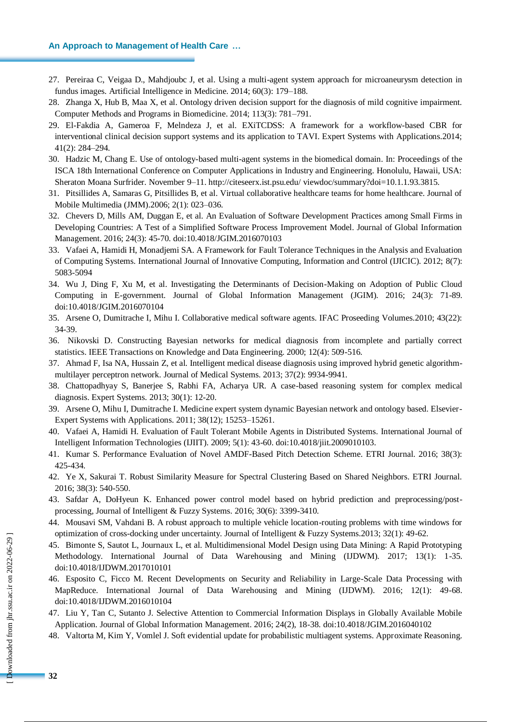#### **An Approach to Management of Health Care …**

- 27. Pereiraa C, Veigaa D., Mahdjoubc J, et al. Using a multi-agent system approach for microaneurysm detection in fundus images. Artificial Intelligence in Medicine. 2014; 60(3): 179–188.
- 28. Zhanga X, Hub B, Maa X, et al. Ontology driven decision support for the diagnosis of mild cognitive impairment. [Computer Methods and Programs in Biomedicine.](https://www.journals.elsevier.com/computer-methods-and-programs-in-biomedicine) 2014; 113(3): 781–791.
- 29. El-Fakdia A, Gameroa F, Melndeza J, et al. EXiTCDSS: A framework for a workflow-based CBR for interventional clinical decision support systems and its application to TAVI. Expert Systems with Applications.2014; 41(2): 284–294.
- 30. Hadzic M, Chang E. Use of ontology-based multi-agent systems in the biomedical domain. In: Proceedings of the ISCA 18th International Conference on Computer Applications in Industry and Engineering. Honolulu, Hawaii, USA: Sheraton Moana Surfrider. November 9–11.<http://citeseerx.ist.psu.edu/> viewdoc/summary?doi=10.1.1.93.3815.
- 31. Pitsillides A, Samaras G, Pitsillides B, et al. Virtual collaborative healthcare teams for home healthcare. Journal of Mobile Multimedia (JMM).2006; 2(1): 023–036.
- 32. Chevers D, Mills AM, Duggan E, et al. An Evaluation of Software Development Practices among Small Firms in Developing Countries: A Test of a Simplified Software Process Improvement Model. Journal of Global Information Management. 2016; 24(3): 45-70. doi:10.4018/JGIM.2016070103
- 33. Vafaei A, Hamidi H, Monadjemi SA. A Framework for Fault Tolerance Techniques in the Analysis and Evaluation of Computing Systems. International Journal of Innovative Computing, Information and Control (IJICIC). 2012; 8(7): 5083-5094
- 34. Wu J, Ding F, Xu M, et al. Investigating the Determinants of Decision-Making on Adoption of Public Cloud Computing in E-government. [Journal of Global Information Management](http://www.igi-global.com/journal/journal-global-information-management/1070) (JGIM). 2016; 24(3): 71-89. doi:10.4018/JGIM.2016070104
- 35. Arsene O, Dumitrache I, Mihu I. Collaborative medical software agents. IFAC Proseeding Volumes.2010; 43(22): 34-39.
- 36. Nikovski D. Constructing Bayesian networks for medical diagnosis from incomplete and partially correct statistics. IEEE Transactions on Knowledge and Data Engineering. 2000; 12(4): 509-516.
- 37. Ahmad F, Isa NA, Hussain Z, et al. Intelligent medical disease diagnosis using improved hybrid genetic algorithmmultilayer perceptron network. Journal of Medical Systems. 2013; 37(2): 9934-9941.
- 38. Chattopadhyay S, Banerjee S, Rabhi FA, Acharya UR. A case-based reasoning system for complex medical diagnosis. Expert Systems. 2013; 30(1): 12-20.
- 39. Arsene O, Mihu I, Dumitrache I. Medicine expert system dynamic Bayesian network and ontology based. Elsevier-Expert Systems with Applications. 2011; 38(12); 15253–15261.
- 40. Vafaei A, Hamidi H. Evaluation of Fault Tolerant Mobile Agents in Distributed Systems. International Journal of Intelligent Information Technologies (IJIIT). 2009; 5(1): 43-60. doi:10.4018/jiit.2009010103.
- 41. Kumar S. Performance Evaluation of Novel AMDF-Based Pitch Detection Scheme. ETRI Journal. 2016; 38(3): 425-434.
- 42. Ye X, Sakurai T. Robust Similarity Measure for Spectral Clustering Based on Shared Neighbors. ETRI Journal. 2016; 38(3): 540-550.
- 43. Safdar A, DoHyeun K. Enhanced power control model based on hybrid prediction and preprocessing/postprocessing, Journal of Intelligent & Fuzzy Systems. 2016; 30(6): 3399-3410.
- 44. Mousavi SM, Vahdani B. A robust approach to multiple vehicle location-routing problems with time windows for optimization of cross-docking under uncertainty. Journal of Intelligent & Fuzzy Systems.2013; 32(1): 49-62.
- 45. Bimonte S, Sautot L, Journaux L, et al. Multidimensional Model Design using Data Mining: A Rapid Prototyping Methodology. International Journal of Data Warehousing and Mining (IJDWM). 2017; 13(1): 1-35. doi:10.4018/IJDWM.2017010101
- 46. Esposito C, Ficco M. Recent Developments on Security and Reliability in Large-Scale Data Processing with MapReduce. International Journal of Data Warehousing and Mining (IJDWM). 2016; 12(1): 49-68. doi:10.4018/IJDWM.2016010104
- 47. Liu Y, Tan C, Sutanto J. Selective Attention to Commercial Information Displays in Globally Available Mobile Application. Journal of Global Information Management. 2016; 24(2), 18-38. doi:10.4018/JGIM.2016040102
- 48. Valtorta M, Kim Y, Vomlel J. Soft evidential update for probabilistic multiagent systems. Approximate Reasoning.